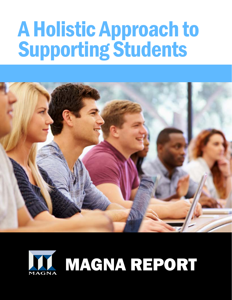# A Holistic Approach to Supporting Students



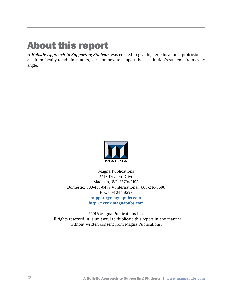# About this report

*A Holistic Approach to Supporting Students* was created to give higher educational professionals, from faculty to administrators, ideas on how to support their institution's students from every angle.



Magna Publications 2718 Dryden Drive Madison, WI 53704 USA Domestic: 800-433-0499 • International: 608-246-3590 Fax: 608-246-3597 **support@magnapubs.com http://www.magnapubs.com** 

©2016 Magna Publications Inc. All rights reserved. It is unlawful to duplicate this report in any manner without written consent from Magna Publications.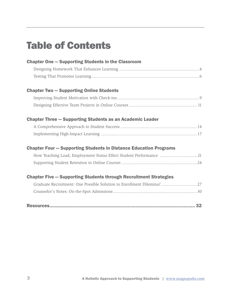# Table of Contents

| <b>Chapter One – Supporting Students in the Classroom</b>                |  |
|--------------------------------------------------------------------------|--|
|                                                                          |  |
|                                                                          |  |
| <b>Chapter Two - Supporting Online Students</b>                          |  |
|                                                                          |  |
|                                                                          |  |
| <b>Chapter Three - Supporting Students as an Academic Leader</b>         |  |
|                                                                          |  |
|                                                                          |  |
| <b>Chapter Four – Supporting Students in Distance Education Programs</b> |  |
| How Teaching Load, Employment Status Effect Student Performance  21      |  |
|                                                                          |  |
| <b>Chapter Five - Supporting Students through Recruitment Strategies</b> |  |
| Graduate Recruitment: One Possible Solution to Enrollment Dilemma? 27    |  |
|                                                                          |  |
|                                                                          |  |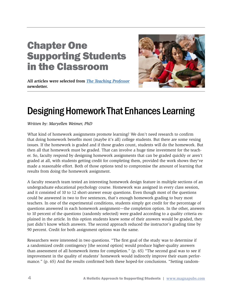### Chapter One Supporting Students in the Classroom



**All articles were selected from** *The Teaching Professor* **newsletter.**

# Designing Homework That Enhances Learning

*Written by: Maryellen Weimer, PhD* 

What kind of homework assignments promote learning? We don't need research to confirm that doing homework benefits most (maybe it's all) college students. But there are some vexing issues. If the homework is graded and if those grades count, students will do the homework. But then all that homework must be graded. That can involve a huge time investment for the teacher. So, faculty respond by designing homework assignments that can be graded quickly or aren't graded at all, with students getting credit for completing them, provided the work shows they've made a reasonable effort. Both of those options tend to compromise the amount of learning that results from doing the homework assignment.

A faculty research team tested an interesting homework design feature in multiple sections of an undergraduate educational psychology course. Homework was assigned in every class session, and it consisted of 10 to 12 short-answer essay questions. Even though most of the questions could be answered in two to five sentences, that's enough homework grading to bury most teachers. In one of the experimental conditions, students simply got credit for the percentage of questions answered in each homework assignment—the completion option. In the other, answers to 10 percent of the questions (randomly selected) were graded according to a quality criteria explained in the article. In this option students knew some of their answers would be graded, they just didn't know which answers. The second approach reduced the instructor's grading time by 90 percent. Credit for both assignment options was the same.

Researchers were interested in two questions. "The first goal of the study was to determine if a randomized credit contingency [the second option] would produce higher-quality answers than assessment of all homework items for completion." (p. 65) "The second goal was to see if improvement in the quality of students' homework would indirectly improve their exam performance." (p. 65) And the results confirmed both these hoped-for conclusions. "Setting random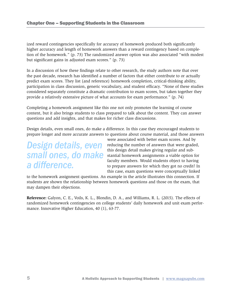ized reward contingencies specifically for accuracy of homework produced both significantly higher accuracy and length of homework answers than a reward contingency based on completion of the homework." (p. 73) The randomized answer option was also associated "with modest but significant gains in adjusted exam scores." (p. 73)

In a discussion of how these findings relate to other research, the study authors note that over the past decade, research has identified a number of factors that either contribute to or actually predict exam scores. They list (and reference) homework completion, critical-thinking ability, participation in class discussion, generic vocabulary, and student efficacy. "None of these studies considered separately constitute a dramatic contribution to exam scores, but taken together they provide a relatively extensive picture of what accounts for exam performance." (p. 74)

Completing a homework assignment like this one not only promotes the learning of course content, but it also brings students to class prepared to talk about the content. They can answer questions and add insights, and that makes for richer class discussions.

Design details, even small ones, do make a difference. In this case they encouraged students to prepare longer and more accurate answers to questions about course material, and those answers

### *Design details, even small ones, do make a difference.*

were associated with better exam scores. And by reducing the number of answers that were graded, this design detail makes giving regular and substantial homework assignments a viable option for faculty members. Would students object to having to prepare answers for which they got no credit? In this case, exam questions were conceptually linked

to the homework assignment questions. An example in the article illustrates this connection. If students are shown the relationship between homework questions and those on the exam, that may dampen their objections.

**Reference:** Galyon, C. E., Voils, K. L., Blondin, D. A., and Williams, R. L. (2015). The effects of randomized homework contingencies on college students' daily homework and unit exam performance. Innovative Higher Education, 40 (1), 63-77.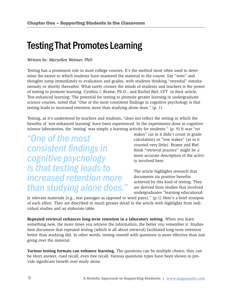### Testing That Promotes Learning

#### *Written by: Maryellen Weimer, PhD*

Testing has a prominent role in most college courses. It's the method most often used to determine the extent to which students have mastered the material in the course. Say "tests" and thoughts jump immediately to evaluation and grades, with students thinking "stressful" simultaneously or shortly thereafter. What rarely crosses the minds of students and teachers is the power of testing to promote learning. Cynthia J. Brame, Ph.D., and Rachel Biel, CFT in their article, Test-enhanced learning: The potential for testing to promote greater learning in undergraduate science courses, noted that "One of the most consistent findings in cognitive psychology is that testing leads to increased retention more than studying alone does." (p. 1)

Testing, as it's understood by teachers and students, "does not reflect the setting in which the benefits of 'test-enhanced learning' have been experienced. In the experiments done in cognitive science laboratories, the 'testing' was simply a learning activity for students." (p. 9) It was "no

*"One of the most consistent findings in cognitive psychology is that testing leads to increased retention more than studying alone does."* stakes" (as in it didn't count in grade calculation) or "low stakes" (as in it counted very little). Brame and Biel think "retrieval practice" might be a more accurate description of the activity involved here.

The article highlights research that documents six positive benefits achieved by this kind of testing. They are derived from studies that involved undergraduates "learning educational-

ly relevant materials (e.g., text passages as opposed to word pairs)." (p.1) Here's a brief synopsis of each effect. They are described in much greater detail in the article with highlights from individual studies and an elaborate table.

**Repeated retrieval enhances long-term retention in a laboratory setting.** When you learn something new, the more times you retrieve the information, the better you remember it. Studies here document that repeated testing (which is all about retrieval) facilitated long-term retention better than studying did. In other words, testing oneself with questions is more effective than just going over the material.

**Various testing formats can enhance learning.** The questions can be multiple choice; they can be short answer, cued recall, even free recall. Various questions types have been shown to provide significant benefit over study alone.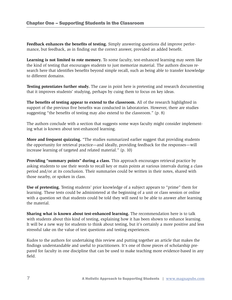**Feedback enhances the benefits of testing.** Simply answering questions did improve performance, but feedback, as in finding out the correct answer, provided an added benefit.

**Learning is not limited to rote memory.** To some faculty, test-enhanced learning may seem like the kind of testing that encourages students to just memorize material. The authors discuss research here that identifies benefits beyond simple recall, such as being able to transfer knowledge to different domains.

**Testing potentiates further study.** The case in point here is pretesting and research documenting that it improves students' studying, perhaps by cuing them to focus on key ideas.

**The benefits of testing appear to extend to the classroom.** All of the research highlighted in support of the previous five benefits was conducted in laboratories. However, there are studies suggesting "the benefits of testing may also extend to the classroom." (p. 8)

The authors conclude with a section that suggests some ways faculty might consider implementing what is known about test-enhanced learning.

**More and frequent quizzing.** "The studies summarized earlier suggest that providing students the opportunity for retrieval practice—and ideally, providing feedback for the responses—will increase learning of targeted and related material." (p. 10)

**Providing "summary points" during a class.** This approach encourages retrieval practice by asking students to use their words to recall key or main points at various intervals during a class period and/or at its conclusion. Their summaries could be written in their notes, shared with those nearby, or spoken in class.

**Use of pretesting.** Testing students' prior knowledge of a subject appears to "prime" them for learning. These tests could be administered at the beginning of a unit or class session or online with a question set that students could be told they will need to be able to answer after learning the material.

**Sharing what is known about test-enhanced learning.** The recommendation here is to talk with students about this kind of testing, explaining how it has been shown to enhance learning. It will be a new way for students to think about testing, but it's certainly a more positive and less stressful take on the value of test questions and testing experiences.

Kudos to the authors for undertaking this review and putting together an article that makes the findings understandable and useful to practitioners. It's one of those pieces of scholarship prepared for faculty in one discipline that can be used to make teaching more evidence-based in any field.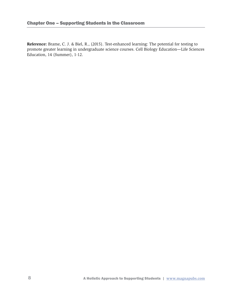**Reference:** Brame, C. J. & Biel, R., (2015). Test-enhanced learning: The potential for testing to promote greater learning in undergraduate science courses. Cell Biology Education—Life Sciences Education, 14 (Summer), 1-12.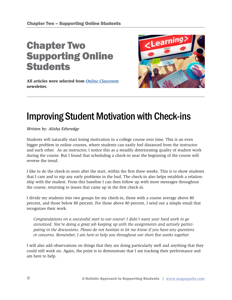## Chapter Two Supporting Online **Students**

**All articles were selected from** *Online Classroom* **newsletter.**



# Improving Student Motivation with Check-ins

*Written by: Alisha Etheredge*

Students will naturally start losing motivation in a college course over time. This is an even bigger problem in online courses, where students can easily feel distanced from the instructor and each other. As an instructor, I notice this as a steadily deteriorating quality of student work during the course. But I found that scheduling a check-in near the beginning of the course will reverse the trend.

I like to do the check-in soon after the start, within the first three weeks. This is to show students that I care and to nip any early problems in the bud. The check-in also helps establish a relationship with the student. From this baseline I can then follow up with more messages throughout the course, returning to issues that came up in the first check-in.

I divide my students into two groups for my check-in, those with a course average above 80 percent, and those below 80 percent. For those above 80 percent, I send out a simple email that recognizes their work.

*Congratulations on a successful start to our course! I didn't want your hard work to go unnoticed. You're doing a great job keeping up with the assignments and actively participating in the discussions. Please do not hesitate to let me know if you have any questions or concerns. Remember, I am here to help you throughout our short five weeks together.* 

I will also add observations on things that they are doing particularly well and anything that they could still work on. Again, the point is to demonstrate that I am tracking their performance and am here to help.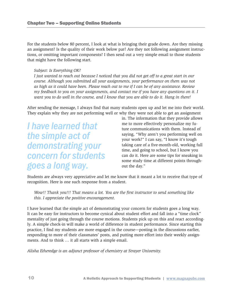For the students below 80 percent, I look at what is bringing their grade down. Are they missing an assignment? Is the quality of their work below par? Are they not following assignment instructions, or omitting important components? I then send out a very simple email to those students that might have the following start.

#### *Subject: Is Everything OK?*

*I just wanted to reach out because I noticed that you did not get off to a great start in our course. Although you submitted all your assignments, your performance on them was not as high as it could have been. Please reach out to me if I can be of any assistance. Review my feedback to you on your assignments, and contact me if you have any questions on it. I want you to do well in the course, and I know that you are able to do it. Hang in there!* 

After sending the message, I always find that many students open up and let me into their world. They explain why they are not performing well or why they were not able to get an assignment

*I have learned that the simple act of demonstrating your concern for students goes a long way.*

in. The information that they provide allows me to more effectively personalize my future communications with them. Instead of saying, "Why aren't you performing well on your work?" I can say, "I know it's tough taking care of a five-month-old, working full time, and going to school, but I know you can do it. Here are some tips for sneaking in some study time at different points throughout the day."

Students are always very appreciative and let me know that it meant a lot to receive that type of recognition. Here is one such response from a student.

*Wow!! Thank you!!! That means a lot. You are the first instructor to send something like this. I appreciate the positive encouragement.* 

I have learned that the simple act of demonstrating your concern for students goes a long way. It can be easy for instructors to become cynical about student effort and fall into a "time clock" mentality of just going through the course motions. Students pick up on this and react accordingly. A simple check-in will make a world of difference in student performance. Since starting this practice, I find my students are more engaged in the course—posting in the discussions earlier, responding to more of their classmates' posts, and putting more effort into their weekly assignments. And to think … it all starts with a simple email.

*Alisha Etheredge is an adjunct professor of chemistry at Strayer University.*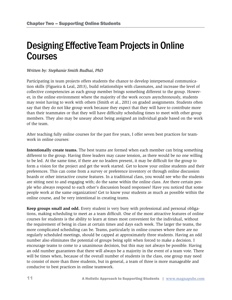### Designing Effective Team Projects in Online **Courses**

#### *Written by: Stephanie Smith Budhai, PhD*

Participating in team projects offers students the chance to develop interpersonal communication skills (Figueira & Leal, 2013), build relationships with classmates, and increase the level of collective competencies as each group member brings something different to the group. However, in the online environment where the majority of the work occurs asynchronously, students may resist having to work with others (Smith et al., 2011) on graded assignments. Students often say that they do not like group work because they expect that they will have to contribute more than their teammates or that they will have difficulty scheduling times to meet with other group members. They also may be uneasy about being assigned an individual grade based on the work of the team.

After teaching fully online courses for the past five years, I offer seven best practices for teamwork in online courses:

**Intentionally create teams.** The best teams are formed when each member can bring something different to the group. Having three leaders may cause tension, as there would be no one willing to be led. At the same time, if there are no leaders present, it may be difficult for the group to form a vision for the project and get the work started. Get to know your online students and their preferences. This can come from a survey or preference inventory or through online discussion boards or other interactive course features. In a traditional class, you would see who the students are sitting next to and engaging with; do the same within the online class. Are there certain people who always respond to each other's discussion board responses? Have you noticed that some people work at the same organization? Get to know your students as much as possible within the online course, and be very intentional in creating teams.

**Keep groups small and odd.** Every student is very busy with professional and personal obligations, making scheduling to meet as a team difficult. One of the most attractive features of online courses for students is the ability to learn at times most convenient for the individual, without the requirement of being in class at certain times and days each week. The larger the teams, the more complicated scheduling can be. Teams, particularly in online courses where there are no regularly scheduled meetings, should be capped at approximately three students. Having an odd number also eliminates the potential of groups being split when forced to make a decision. I encourage teams to come to a unanimous decision, but this may not always be possible. Having an odd number guarantees that there will always be a majority in the event of a team vote. There will be times when, because of the overall number of students in the class, one group may need to consist of more than three students, but in general, a team of three is more manageable and conducive to best practices in online teamwork.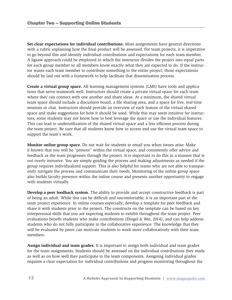**Set clear expectations for individual contributions.** Most assignments have general directions with a rubric explaining how the final product will be assessed. For team projects, it is imperative to go beyond this and identify individual contributions and expectations for each team member. A jigsaw approach could be employed in which the instructor divides the project into equal parts for each group member so all members know exactly what they are expected to do. If the instructor wants each team member to contribute something to the entire project, those expectations should be laid out with a framework to help facilitate that dissemination process.

**Create a virtual group space.** All learning management systems (LMS) have tools and applications that serve teamwork well. Instructors should create a private virtual space for each team where they can connect with one another and share ideas. At a minimum, the shared virtual team space should include a discussion board, a file sharing area, and a space for live, real-time sessions or chat. Instructors should provide an overview of each feature of the virtual shared space and make suggestions for how it should be used. While this may seem intuitive for instructors, some students may not know how to best leverage the space or use the individual features. This can lead to underutilization of the shared virtual space and a less efficient process during the team project. Be sure that all students know how to access and use the virtual team space to support the team's work.

**Monitor online group space.** Do not wait for students to email you when issues arise. Make it known that you will be "present" within the virtual space, and consistently offer advice and feedback as the team progresses through the project. It is important to do this in a manner that is not overly intrusive. You are simply guiding the process and making adjustments as needed if the group requires individualized support. This is also helpful for teams who are not able to transparently navigate the process and communicate their needs. Monitoring of the online group space also builds faculty presence within the online course and presents another opportunity to engage with students virtually.

**Develop a peer feedback system.** The ability to provide and accept constructive feedback is part of being an adult. While this can be difficult and uncomfortable, it is an important part of the team project experience. In online courses especially, develop a template for peer feedback and share it with students prior to the project. The constructs on the template can be based on key interpersonal skills that you are expecting students to exhibit throughout the team project. Peer evaluations benefit students who make contributions (Dingel & Wei, 2014), and can help address students who do not fully participate in the collaborative experience. The knowledge that they will be evaluated by peers can motivate students to work more collaboratively with their team members.

**Assign individual and team grades.** It is important to assign both individual and team grades for the team assignments. Students should be assessed on the individual contributions they made as well as on how well they participate in the team components. Assigning individual grades requires a clear expectation for individual contributions and progress monitoring throughout the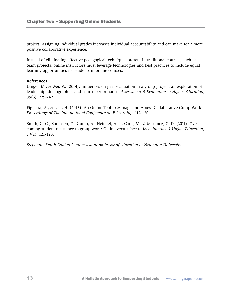project. Assigning individual grades increases individual accountability and can make for a more positive collaborative experience.

Instead of eliminating effective pedagogical techniques present in traditional courses, such as team projects, online instructors must leverage technologies and best practices to include equal learning opportunities for students in online courses.

#### **References**

Dingel, M., & Wei, W. (2014). Influences on peer evaluation in a group project: an exploration of leadership, demographics and course performance. *Assessment & Evaluation In Higher Education, 39*(6), 729-742.

Figueira, A., & Leal, H. (2013). An Online Tool to Manage and Assess Collaborative Group Work. *Proceedings of The International Conference on E-Learning*, 112-120.

Smith, G. G., Sorensen, C., Gump, A., Heindel, A. J., Caris, M., & Martinez, C. D. (2011). Overcoming student resistance to group work: Online versus face-to-face. *Internet & Higher Education, 14*(2), 121-128.

*Stephanie Smith Budhai is an assistant professor of education at Neumann University.*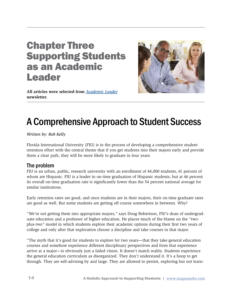### Chapter Three Supporting Students as an Academic Leader



**All articles were selected from** *Academic Leader* **newsletter.** 

# A Comprehensive Approach to Student Success

*Written by: Rob Kelly* 

Florida International University (FIU) is in the process of developing a comprehensive student retention effort with the central theme that if you get students into their majors early and provide them a clear path, they will be more likely to graduate in four years.

#### The problem

FIU is an urban, public, research university with an enrollment of 44,000 students, 61 percent of whom are Hispanic. FIU is a leader in on-time graduation of Hispanic students, but at 46 percent its overall on-time graduation rate is significantly lower than the 54 percent national average for similar institutions.

Early retention rates are good, and once students are in their majors, their on-time graduate rates are good as well. But some students are getting off course somewhere in between. Why?

"We're not getting them into appropriate majors," says Doug Robertson, FIU's dean of undergraduate education and a professor of higher education. He places much of the blame on the "twoplus-two" model in which students explore their academic options during their first two years of college and only after that exploration choose a discipline and take courses in that major.

"The myth that it's good for students to explore for two years—that they take general education courses and somehow experience different disciplinary perspectives and from that experience arrive at a major—is obviously just a failed vision. It doesn't match reality. Students experience the general education curriculum as disorganized. They don't understand it. It's a hoop to get through. They are self-advising by and large. They are allowed to persist, exploring but not learn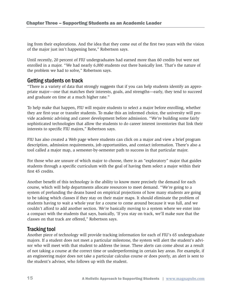ing from their explorations. And the idea that they come out of the first two years with the vision of the major just isn't happening here," Robertson says.

Until recently, 20 percent of FIU undergraduates had earned more than 60 credits but were not enrolled in a major. "We had nearly 6,000 students out there basically lost. That's the nature of the problem we had to solve," Robertson says.

#### Getting students on track

"There is a variety of data that strongly suggests that if you can help students identify an appropriate major—one that matches their interests, goals, and strengths—early, they tend to succeed and graduate on time at a much higher rate."

To help make that happen, FIU will require students to select a major before enrolling, whether they are first-year or transfer students. To make this an informed choice, the university will provide academic advising and career development before admission. "We're building some fairly sophisticated technologies that allow the students to do career interest inventories that link their interests to specific FIU majors," Robertson says.

FIU has also created a Web page where students can click on a major and view a brief program description, admission requirements, job opportunities, and contact information. There's also a tool called a major map, a semester-by-semester path to success in that particular major.

For those who are unsure of which major to choose, there is an "exploratory" major that guides students through a specific curriculum with the goal of having them select a major within their first 45 credits.

Another benefit of this technology is the ability to know more precisely the demand for each course, which will help departments allocate resources to meet demand. "We're going to a system of prefunding the deans based on empirical projections of how many students are going to be taking which classes if they stay on their major maps. It should eliminate the problem of students having to wait a whole year for a course to come around because it was full, and we couldn't afford to add another section. We're basically moving to a system where we enter into a compact with the students that says, basically, 'If you stay on track, we'll make sure that the classes on that track are offered," Robertson says.

#### Tracking tool

Another piece of technology will provide tracking information for each of FIU's 65 undergraduate majors. If a student does not meet a particular milestone, the system will alert the student's advisor who will meet with that student to address the issue. These alerts can come about as a result of not taking a course at the correct time or underperforming in certain key areas. For example, if an engineering major does not take a particular calculus course or does poorly, an alert is sent to the student's advisor, who follows up with the student.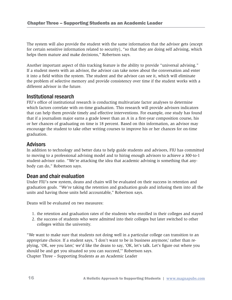The system will also provide the student with the same information that the advisor gets (except for certain sensitive information related to security), "so that they are doing self advising, which helps them mature and make decisions," Robertson says.

Another important aspect of this tracking feature is the ability to provide "universal advising." If a student meets with an advisor, the advisor can take notes about the conversation and enter it into a field within the system. The student and the advisor can see it, which will eliminate the problem of selective memory and provide consistency over time if the student works with a different advisor in the future.

#### Institutional research

FIU's office of institutional research is conducting multivariate factor analyses to determine which factors correlate with on-time graduation. This research will provide advisors indicators that can help them provide timely and effective interventions. For example, one study has found that if a journalism major earns a grade lower than an A in a first-year composition course, his or her chances of graduating on time is 18 percent. Based on this information, an advisor may encourage the student to take other writing courses to improve his or her chances for on-time graduation.

#### Advisors

In addition to technology and better data to help guide students and advisors, FIU has committed to moving to a professional advising model and to hiring enough advisors to achieve a 300-to-1 student-advisor ratio. "We're attacking the idea that academic advising is something that anybody can do," Robertson says.

#### Dean and chair evaluation

Under FIU's new system, deans and chairs will be evaluated on their success in retention and graduation goals. "We're taking the retention and graduation goals and infusing them into all the units and having those units held accountable," Robertson says.

Deans will be evaluated on two measures:

- 1. the retention and graduation rates of the students who enrolled in their colleges and stayed
- 2. the success of students who were admitted into their colleges but later switched to other colleges within the university.

"We want to make sure that students not doing well in a particular college can transition to an appropriate choice. If a student says, 'I don't want to be in business anymore,' rather than replying, 'OK, see you later,' we'd like the deans to say, 'OK, let's talk. Let's figure out where you should be and get you situated so you can succeed,'" Robertson says. Chapter Three – Supporting Students as an Academic Leader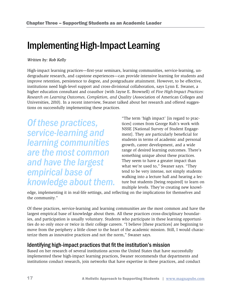### Implementing High-Impact Learning

#### *Written by: Rob Kelly*

High-impact learning practices—first-year seminars, learning communities, service-learning, undergraduate research, and capstone experiences—can provide intensive learning for students and improve retention, persistence to degree, and postgraduate attainment. However, to be effective, institutions need high-level support and cross-divisional collaboration, says Lynn E. Swaner, a higher education consultant and coauthor (with Jayne E. Brownell) of *Five High-Impact Practices: Research on Learning Outcomes, Completion, and Quality* (Association of American Colleges and Universities, 2010). In a recent interview, Swaner talked about her research and offered suggestions on successfully implementing these practices.

*Of these practices, service-learning and learning communities are the most common and have the largest empirical base of knowledge about them.*  "The term 'high impact' [in regard to practices] comes from George Kuh's work with NSSE [National Survey of Student Engagement]. They are particularly beneficial for students in terms of academic and personal growth, career development, and a wide range of desired learning outcomes. There's something unique about these practices. They seem to have a greater impact than what we're used to," Swaner says. "They tend to be very intense, not simply students walking into a lecture hall and hearing a lecture but students [being required] to learn on multiple levels. They're creating new knowl-

edge, implementing it in real-life settings, and reflecting on the implications for themselves and the community."

Of these practices, service-learning and learning communities are the most common and have the largest empirical base of knowledge about them. All these practices cross-disciplinary boundaries, and participation is usually voluntary. Students who participate in these learning opportunities do so only once or twice in their college careers. "I believe [these practices] are beginning to move from the periphery a little closer to the heart of the academic mission. Still, I would characterize them as innovative practices and not the norm," Swaner says.

#### Identifying high-impact practices that fit the institution's mission

Based on her research of several institutions across the United States that have successfully implemented these high-impact learning practices, Swaner recommends that departments and institutions conduct research, join networks that have expertise in these practices, and conduct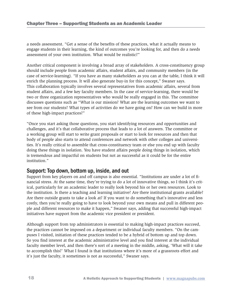a needs assessment. "Get a sense of the benefits of these practices, what it actually means to engage students in their learning, the kind of outcomes you're looking for, and then do a needs assessment of your own institution. What would be realistic?"

Another critical component is involving a broad array of stakeholders. A cross-constituency group should include people from academic affairs, student affairs, and community members (in the case of service-learning). "If you have as many stakeholders as you can at the table, I think it will enrich the planning process. It will also generate buy-in for this concept," Swaner says. This collaboration typically involves several representatives from academic affairs, several from student affairs, and a few key faculty members. In the case of service-learning, there would be two or three organization representatives who would be really engaged in this. The committee discusses questions such as "What is our mission? What are the learning outcomes we want to see from our students? What types of activities do we have going on? How can we build in more of these high-impact practices?"

"Once you start asking those questions, you start identifying resources and opportunities and challenges, and it's that collaborative process that leads to a lot of answers. The committee or a working group will start to write grant proposals or start to look for resources and then that body of people also starts to attend conferences and network with other colleges and universities. It's really critical to assemble that cross-constituency team or else you end up with faculty doing these things in isolation. You have student affairs people doing things in isolation, which is tremendous and impactful on students but not as successful as it could be for the entire institution."

#### Support: Top down, bottom up, inside, and out

Support from key players on and off campus is also essential. "Institutions are under a lot of financial stress. At the same time, they're trying to do a lot of innovative things, so I think it's critical, particularly for an academic leader to really look beyond his or her own resources. Look to the institution. Is there a teaching and learning initiative? Are there institutional grants available? Are there outside grants to take a look at? If you want to do something that's innovative and less costly, then you're really going to have to look beyond your own means and pull in different people and different resources to make it happen," Swaner says, adding that successful high-impact initiatives have support from the academic vice president or president.

Although support from top administrators is essential to making high-impact practices succeed, the practices cannot be imposed on a department or individual faculty members. "On the campuses I visited, initiation of these practices tended to be a hybrid of bottom up and top down. So you find interest at the academic administrative level and you find interest at the individual faculty member level, and then there's sort of a meeting in the middle, asking, 'What will it take to accomplish this?' What I found is that institutions where it's more of a grassroots effort and it's just the faculty, it sometimes is not as successful," Swaner says.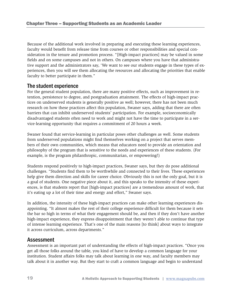Because of the additional work involved in preparing and executing these learning experiences, faculty would benefit from release time from courses or other responsibilities and special consideration in the tenure and promotion process. "[High-impact practices] may be valued in some fields and on some campuses and not in others. On campuses where you have that administrative support and the administrators say, 'We want to see our students engage in these types of experiences, then you will see them allocating the resources and allocating the priorities that enable faculty to better participate in them."

#### The student experience

For the general student population, there are many positive effects, such as improvement in retention, persistence to degree, and postgraduation attainment. The effects of high-impact practices on underserved students is generally positive as well; however, there has not been much research on how these practices affect this population, Swaner says, adding that there are often barriers that can inhibit underserved students' participation. For example, socioeconomically disadvantaged students often need to work and might not have the time to participate in a service-learning opportunity that requires a commitment of 20 hours a week.

Swaner found that service-learning in particular poses other challenges as well. Some students from underserved populations might find themselves working on a project that serves members of their own communities, which means that educators need to provide an orientation and philosophy of the program that is sensitive to the needs and experiences of these students. (For example, is the program philanthropic, communitarian, or empowering?)

Students respond positively to high-impact practices, Swaner says, but they do pose additional challenges. "Students find them to be worthwhile and connected to their lives. These experiences help give them direction and skills for career choice. Obviously this is not the only goal, but it is a goal of students. One negative piece about it, and this speaks to the intensity of these experiences, is that students report that [high-impact practices] are a tremendous amount of work, that it's eating up a lot of their time and energy and effort," Swaner says.

In addition, the intensity of these high-impact practices can make other learning experiences disappointing. "It almost makes the rest of their college experience difficult for them because it sets the bar so high in terms of what their engagement should be, and then if they don't have another high-impact experience, they express disappointment that they weren't able to continue that type of intense learning experience. That's one of the main reasons [to think] about ways to integrate it across curriculum, across departments."

#### Assessment

Assessment is an important part of understanding the effects of high-impact practices. "Once you get all those folks around the table, you kind of have to develop a common language for your institution. Student affairs folks may talk about learning in one way, and faculty members may talk about it in another way. But they start to craft a common language and begin to understand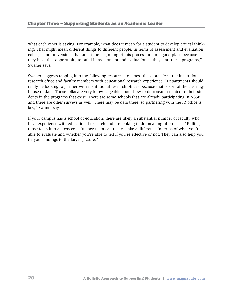what each other is saying. For example, what does it mean for a student to develop critical thinking? That might mean different things to different people. In terms of assessment and evaluation, colleges and universities that are at the beginning of this process are in a good place because they have that opportunity to build in assessment and evaluation as they start these programs," Swaner says.

Swaner suggests tapping into the following resources to assess these practices: the institutional research office and faculty members with educational research experience. "Departments should really be looking to partner with institutional research offices because that is sort of the clearinghouse of data. Those folks are very knowledgeable about how to do research related to their students in the programs that exist. There are some schools that are already participating in NSSE, and there are other surveys as well. There may be data there, so partnering with the IR office is key," Swaner says.

If your campus has a school of education, there are likely a substantial number of faculty who have experience with educational research and are looking to do meaningful projects. "Pulling those folks into a cross-constituency team can really make a difference in terms of what you're able to evaluate and whether you're able to tell if you're effective or not. They can also help you tie your findings to the larger picture."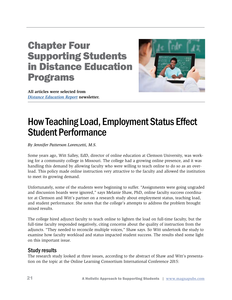# Chapter Four Supporting Students in Distance Education Programs



**All articles were selected from**  *Distance Education Report* **newsletter.** 

## How Teaching Load, Employment Status Effect Student Performance

*By Jennifer Patterson Lorenzetti, M.S.*

Some years ago, Witt Salley, EdD, director of online education at Clemson University, was working for a community college in Missouri. The college had a growing online presence, and it was handling this demand by allowing faculty who were willing to teach online to do so as an overload. This policy made online instruction very attractive to the faculty and allowed the institution to meet its growing demand.

Unfortunately, some of the students were beginning to suffer. "Assignments were going ungraded and discussion boards were ignored," says Melanie Shaw, PhD, online faculty success coordinator at Clemson and Witt's partner on a research study about employment status, teaching load, and student performance. She notes that the college's attempts to address the problem brought mixed results.

The college hired adjunct faculty to teach online to lighten the load on full-time faculty, but the full-time faculty responded negatively, citing concerns about the quality of instruction from the adjuncts. "They needed to reconcile multiple voices," Shaw says. So Witt undertook the study to examine how faculty workload and status impacted student success. The results shed some light on this important issue.

#### Study results

The research study looked at three issues, according to the abstract of Shaw and Witt's presentation on the topic at the Online Learning Consortium International Conference 2015: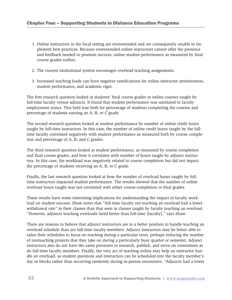- 1. Online instructors in the local setting are overextended and are consequently unable to implement best practices. Because overextended online instructors cannot offer the presence and feedback needed to promote success, online student performance as measured by final course grades suffers.
- 2. The current institutional system encourages overload teaching assignments.
- 3. Increased teaching loads can have negative ramifications for online instructor attentiveness, student performance, and academic rigor.

The first research question looked at students' final course grades in online courses taught by full-time faculty versus adjuncts. It found that student performance was unrelated to faculty employment status. This held true both for percentage of students completing the courses and percentage of students earning an A, B, or C grade.

The second research question looked at student performance by number of online credit hours taught by full-time instructors. In this case, the number of online credit hours taught by the fulltime faculty correlated negatively with student performance as measured both by course completion and percentage of A, B, and C grades.

The third research question looked at student performance, as measured by course completion and final course grades, and how it correlates with number of hours taught by adjunct instructors. In this case, the workload was negatively related to course completion but did not impact the percentage of students receiving an A, B, or C grade.

Finally, the last research question looked at how the number of overload hours taught by fulltime instructors impacted student performance. The results showed that the number of online overload hours taught was not correlated with either course completion or final grades.

These results have some interesting implications for understanding the impact of faculty workload on student success. Shaw notes that "full-time faculty not teaching an overload had a lower withdrawal rate" in their classes than that seen in classes taught by faculty teaching an overload. "However, adjuncts teaching overloads fared better than full-time [faculty]," says Shaw.

There are reasons to believe that adjunct instructors are in a better position to handle teaching an overload schedule than are full-time faculty members. Adjunct instructors may be better able to tailor their schedules to focus on teaching during a particular term, perhaps reducing the number of nonteaching projects that they take on during a particularly busy quarter or semester. Adjunct instructors also do not have the same pressures to research, publish, and serve on committees as do full-time faculty members. Finally, the very act of teaching online may help an instructor handle an overload, as student questions and interaction can be scheduled into the faculty member's day in blocks rather than occurring randomly during in-person encounters. "Adjuncts had a lower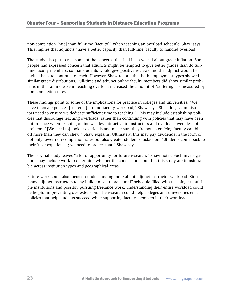non-completion [rate] than full-time [faculty]" when teaching an overload schedule, Shaw says. This implies that adjuncts "have a better capacity than full-time [faculty to handle] overload."

The study also put to rest some of the concerns that had been voiced about grade inflation. Some people had expressed concern that adjuncts might be tempted to give better grades than do fulltime faculty members, so that students would give positive reviews and the adjunct would be invited back to continue to teach. However, Shaw reports that both employment types showed similar grade distributions. Full-time and adjunct online faculty members did show similar problems in that an increase in teaching overload increased the amount of "suffering" as measured by non-completion rates.

These findings point to some of the implications for practice in colleges and universities. "We have to create policies [centered] around faculty workload," Shaw says. She adds, "administrators need to ensure we dedicate sufficient time to teaching." This may include establishing policies that discourage teaching overloads, rather than continuing with policies that may have been put in place when teaching online was less attractive to instructors and overloads were less of a problem. "[We need to] look at overloads and make sure they're not so enticing faculty can bite off more than they can chew," Shaw explains. Ultimately, this may pay dividends in the form of not only lower non-completion rates but also greater student satisfaction. "Students come back to their 'user experience'; we need to protect that," Shaw says.

The original study leaves "a lot of opportunity for future research," Shaw notes. Such investigations may include work to determine whether the conclusions found in this study are transferrable across institution types and geographical areas.

Future work could also focus on understanding more about adjunct instructor workload. Since many adjunct instructors today build an "entrepreneurial" schedule filled with teaching at multiple institutions and possibly pursuing freelance work, understanding their entire workload could be helpful in preventing overextension. The research could help colleges and universities enact policies that help students succeed while supporting faculty members in their workload.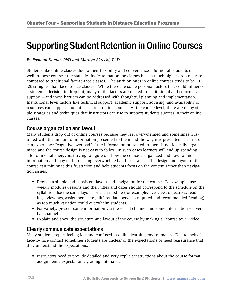### Supporting Student Retention in Online Courses

#### *By Poonam Kumar, PhD and Marilyn Skrocki, PhD*

Students like online classes due to their flexibility and convenience. But not all students do well in these courses; the statistics indicate that online classes have a much higher drop-out rate compared to traditional face-to-face classes. The attrition rates in online courses tends to be 10 -20% higher than face-to-face classes. While there are some personal factors that could influence a students' decision to drop out; many of the factors are related to institutional and course level support – and these barriers can be addressed with thoughtful planning and implementation. Institutional level factors like technical support, academic support, advising, and availability of resources can support student success in online courses. At the course level, there are many simple strategies and techniques that instructors can use to support students success in their online classes.

#### Course organization and layout

Many students drop out of online courses because they feel overwhelmed and sometimes frustrated with the amount of information presented to them and the way it is presented. Learners can experience "cognitive overload" if the information presented to them is not logically organized and the course design is not easy to follow. In such cases learners will end up spending a lot of mental energy just trying to figure out how the course is organized and how to find information and may end up feeling overwhelmed and frustrated. The design and layout of the course can minimize this frustration and help students focus on the content rather than navigation issues.

- Provide a simple and consistent layout and navigation for the course. For example, use weekly modules/lessons and their titles and dates should correspond to the schedule on the syllabus. Use the same layout for each module (for example, overview, objectives, readings, viewings, assignments etc., differentiate between required and recommended Reading) as too much variation could overwhelm students.
- For variety, present some information via the visual channel and some information via verbal channel.
- Explain and show the structure and layout of the course by making a "course tour" video.

#### Clearly communicate expectations

Many students report feeling lost and confused in online learning environments. Due to lack of face-to- face contact sometimes students are unclear of the expectations or need reassurance that they understand the expectations.

• Instructors need to provide detailed and very explicit instructions about the course format, assignments, expectations, grading criteria etc.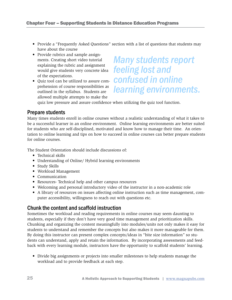- Provide a "Frequently Asked Questions" section with a list of questions that students may have about the course
- Provide rubrics and sample assignments. Creating short video tutorial explaining the rubric and assignment would give students very concrete idea of the expectations.
- Quiz tool can be utilized to assure comprehension of course responsibilities as outlined in the syllabus. Students are allowed multiple attempts to make the

*Many students report feeling lost and confused in online learning environments.*

quiz low pressure and assure confidence when utilizing the quiz tool function.

#### Prepare students

Many times students enroll in online courses without a realistic understanding of what it takes to be a successful learner in an online environment. Online learning environments are better suited for students who are self-disciplined, motivated and know how to manage their time. An orientation to online learning and tips on how to succeed in online courses can better prepare students for online courses.

The Student Orientation should include discussions of:

- Technical skills
- Understanding of Online/ Hybrid learning environments
- Study Skills
- Workload Management
- Communication
- Resources- Technical help and other campus resources
- Welcoming and personal introductory video of the instructor in a non-academic role
- A library of resources on issues affecting online instruction such as time management, computer accessibility, willingness to reach out with questions etc.

#### Chunk the content and scaffold instruction

Sometimes the workload and reading requirements in online courses may seem daunting to students, especially if they don't have very good time management and prioritization skills. Chunking and organizing the content meaningfully into modules/units not only makes it easy for students to understand and remember the concepts but also makes it more manageable for them. By doing this instructor can present complex concepts/ideas in "bite size information" so students can understand, apply and retain the information. By incorporating assessments and feedback with every learning module, instructors have the opportunity to scaffold students' learning.

• Divide big assignments or projects into smaller milestones to help students manage the workload and to provide feedback at each step.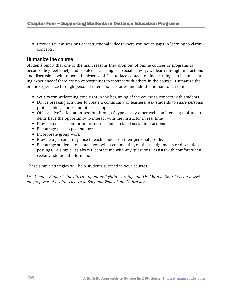• Provide review sessions or instructional videos where you notice gaps in learning to clarify concepts.

#### Humanize the course

Students report that one of the main reasons they drop out of online courses or programs is because they feel lonely and isolated. Learning is a social activity; we learn through interactions and discussions with others. In absence of face-to-face contact, online learning can be an isolating experience if there are no opportunities to interact with others in the course. Humanize the online experience through personal interactions, stories and add the human touch to it.

- Set a warm welcoming tone right in the beginning of the course to connect with students.
- Do ice breaking activities to create a community of learners. Ask students to share personal profiles, bios, stories and other examples
- Offer a "live" orientation session through Skype or any other web conferencing tool so students have the opportunity to interact with the instructor in real time
- Provide a discussion forum for non course related social interactions
- Encourage peer to peer support
- Incorporate group work
- Provide a personal response to each student on their personal profile.
- Encourage students to contact you when commenting on their assignments or discussion postings. A simple "as always, contact me with any questions" assists with comfort when seeking additional information.

These simple strategies will help students succeed in your courses.

*Dr. Poonam Kumar is the director of online/hybrid learning and Dr. Marilyn Skrocki is an associate professor of health sciences at Saginaw Valley State University.*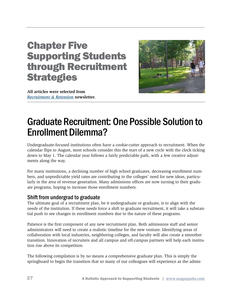# Chapter Five Supporting Students through Recruitment **Strategies**



**All articles were selected from**  *Recruitment & Retention* **newsletter.** 

### Graduate Recruitment: One Possible Solution to Enrollment Dilemma?

Undergraduate-focused institutions often have a cookie-cutter approach to recruitment. When the calendar flips to August, most schools consider this the start of a new cycle with the clock ticking down to May 1. The calendar year follows a fairly predictable path, with a few creative adjustments along the way.

For many institutions, a declining number of high school graduates, decreasing enrollment numbers, and unpredictable yield rates are contributing to the colleges' need for new ideas, particularly in the area of revenue generation. Many admissions offices are now turning to their graduate programs, hoping to increase those enrollment numbers.

#### Shift from undergrad to graduate

The ultimate goal of a recruitment plan, be it undergraduate or graduate, is to align with the needs of the institution. If these needs force a shift to graduate recruitment, it will take a substantial push to see changes in enrollment numbers due to the nature of these programs.

Patience is the first component of any new recruitment plan. Both admissions staff and senior administrators will need to create a realistic timeline for the new venture. Identifying areas of collaboration with local industries, neighboring colleges, and faculty will also create a smoother transition. Innovation of recruiters and all campus and off-campus partners will help each institution rise above its competition.

The following compilation is by no means a comprehensive graduate plan. This is simply the springboard to begin the transition that so many of our colleagues will experience as the admis-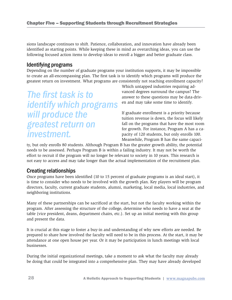sions landscape continues to shift. Patience, collaboration, and innovation have already been identified as starting points. While keeping these in mind as overarching ideas, you can use the following focused action items to develop ideas to enroll a bigger and better graduate class.

#### Identifying programs

Depending on the number of graduate programs your institution supports, it may be impossible to create an all-encompassing plan. The first task is to identify which programs will produce the greatest return on investment. What programs are consistently not reaching enrollment capacity?

*The first task is to identify which programs will produce the greatest return on investment.*

Which untapped industries requiring advanced degrees surround the campus? The answer to these questions may be data-driven and may take some time to identify.

If graduate enrollment is a priority because tuition revenue is down, the focus will likely fall on the programs that have the most room for growth. For instance, Program A has a capacity of 120 students, but only enrolls 100. Meanwhile, Program B has the same capaci-

ty, but only enrolls 80 students. Although Program B has the greater growth ability, the potential needs to be assessed. Perhaps Program B is within a failing industry. It may not be worth the effort to recruit if the program will no longer be relevant to society in 10 years. This research is not easy to access and may take longer than the actual implementation of the recruitment plan.

#### Creating relationships

Once programs have been identified (10 to 15 percent of graduate programs is an ideal start), it is time to consider who needs to be involved with the growth plan. Key players will be program directors, faculty, current graduate students, alumni, marketing, local media, local industries, and neighboring institutions.

Many of these partnerships can be sacrificed at the start, but not the faculty working within the program. After assessing the structure of the college, determine who needs to have a seat at the table (vice president, deans, department chairs, etc.). Set up an initial meeting with this group and present the data.

It is crucial at this stage to foster a buy-in and understanding of why new efforts are needed. Be prepared to share how involved the faculty will need to be in this process. At the start, it may be attendance at one open house per year. Or it may be participation in lunch meetings with local businesses.

During the initial organizational meetings, take a moment to ask what the faculty may already be doing that could be integrated into a comprehensive plan. They may have already developed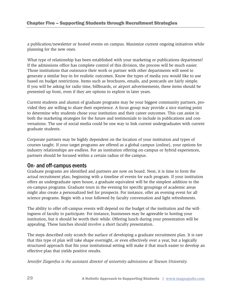a publication/newsletter or hosted events on campus. Maximize current ongoing initiatives while planning for the new ones.

What type of relationship has been established with your marketing or publications department? If the admissions office has complete control of this division, the process will be much easier. Those institutions that outsource their work or partner with other departments will need to generate a similar buy-in for realistic outcomes. Know the types of media you would like to use based on budget restrictions. Items such as brochures, emails, and postcards are fairly simple. If you will be asking for radio time, billboards, or airport advertisements, these items should be presented up front, even if they are options to explore in later years.

Current students and alumni of graduate programs may be your biggest community partners, provided they are willing to share their experience. A focus group may provide a nice starting point to determine why students chose your institution and their career outcomes. This can assist in both the marketing strategies for the future and testimonials to include in publications and conversations. The use of social media could be one way to link current undergraduates with current graduate students.

Corporate partners may be highly dependent on the location of your institution and types of courses taught. If your target programs are offered as a global campus (online), your options for industry relationships are endless. For an institution offering on-campus or hybrid experiences, partners should be focused within a certain radius of the campus.

#### On- and off-campus events

Graduate programs are identified and partners are now on board. Next, it is time to form the actual recruitment plan, beginning with a timeline of events for each program. If your institution offers an undergraduate open house, a graduate equivalent will be the simplest addition to the on-campus programs. Graduate tours in the evening for specific groupings of academic areas might also create a personalized feel for prospects. For instance, offer an evening event for all science programs. Begin with a tour followed by faculty conversation and light refreshments.

The ability to offer off-campus events will depend on the budget of the institution and the willingness of faculty to participate. For instance, businesses may be agreeable to hosting your institution, but it should be worth their while. Offering lunch during your presentation will be appealing. These lunches should involve a short faculty presentation.

The steps described only scratch the surface of developing a graduate recruitment plan. It is rare that this type of plan will take shape overnight, or even effectively over a year, but a logically structured approach that fits your institutional setting will make it that much easier to develop an effective plan that yields positive results.

*Jennifer Ziegenfus is the assistant director of university admissions at Towson University.*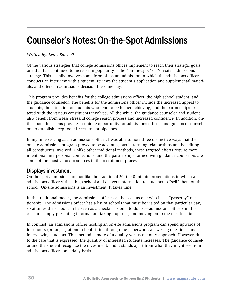## Counselor's Notes: On-the-Spot Admissions

#### *Written by: Leroy Satchell*

Of the various strategies that college admissions offices implement to reach their strategic goals, one that has continued to increase in popularity is the "on-the-spot" or "on-site" admissions strategy. This usually involves some form of instant admission in which the admissions officer conducts an interview with a student, reviews the student's application and supplemental materials, and offers an admissions decision the same day.

This program provides benefits for the college admissions officer, the high school student, and the guidance counselor. The benefits for the admissions officer include the increased appeal to students, the attraction of students who tend to be higher achieving, and the partnerships fostered with the various constituents involved. All the while, the guidance counselor and student also benefit from a less stressful college search process and increased confidence. In addition, onthe-spot admissions provides a unique opportunity for admissions officers and guidance counselors to establish deep-rooted recruitment pipelines.

In my time serving as an admissions officer, I was able to note three distinctive ways that the on-site admissions program proved to be advantageous in forming relationships and benefiting all constituents involved. Unlike other traditional methods, these targeted efforts require more intentional interpersonal connections, and the partnerships formed with guidance counselors are some of the most valued resources in the recruitment process.

#### Displays investment

On-the-spot admissions are not like the traditional 30- to 40-minute presentations in which an admissions officer visits a high school and delivers information to students to "sell" them on the school. On-site admissions is an investment. It takes time.

In the traditional model, the admissions officer can be seen as one who has a "passerby" relationship. The admissions officer has a list of schools that must be visited on that particular day, so at times the school can be seen as a checkmark on a to-do list—admissions officers in this case are simply presenting information, taking inquiries, and moving on to the next location.

In contrast, an admissions officer hosting an on-site admissions program can spend upwards of four hours (or longer) at one school sifting through the paperwork, answering questions, and interviewing students. This method is more of a quality-versus-quantity approach. However, due to the care that is expressed, the quantity of interested students increases. The guidance counselor and the student recognize the investment, and it stands apart from what they might see from admissions officers on a daily basis.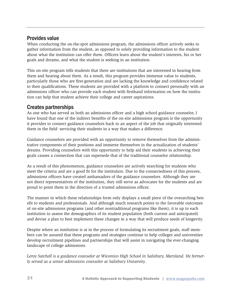#### Provides value

When conducting the on-the-spot admissions program, the admissions officer actively seeks to gather information from the student, as opposed to solely providing information to the student about what the institution can offer them. Officers learn about the student's interests, his or her goals and dreams, and what the student is seeking in an institution.

This on-site program tells students that there are institutions that are interested in hearing from them and hearing about them. As a result, this program provides immense value to students, particularly those who are first-generation and are lacking the knowledge and confidence related to their qualifications. These students are provided with a platform to connect personally with an admissions officer who can provide each student with firsthand information on how the institution can help that student achieve their college and career aspirations.

#### Creates partnerships

As one who has served as both an admissions officer and a high school guidance counselor, I have found that one of the indirect benefits of the on-site admissions program is the opportunity it provides to connect guidance counselors back to an aspect of the job that originally interested them in the field: servicing their students in a way that makes a difference.

Guidance counselors are provided with an opportunity to remove themselves from the administrative components of their positions and immerse themselves in the actualization of students' dreams. Providing counselors with this opportunity to help aid their students in achieving their goals causes a connection that can supersede that of the traditional counselor relationship.

As a result of this phenomenon, guidance counselors are actively searching for students who meet the criteria and are a good fit for the institution. Due to the connectedness of this process, admissions officers have created ambassadors of the guidance counselors. Although they are not direct representatives of the institution, they still serve as advocates for the students and are proud to point them in the direction of a trusted admissions officer.

The manner in which these relationships form only displays a small piece of the overarching benefit to students and professionals. And although much research points to the favorable outcomes of on-site admissions programs (and other nontraditional programs like them), it is up to each institution to assess the demographics of its student population (both current and anticipated) and devise a plan to best implement these changes in a way that will produce seeds of longevity.

Despite where an institution is at in the process of formulating its recruitment goals, staff members can be assured that these programs and strategies continue to help colleges and universities develop recruitment pipelines and partnerships that will assist in navigating the ever-changing landscape of college admissions.

*Leroy Satchell is a guidance counselor at Wicomico High School in Salisbury, Maryland. He formerly served as a senior admissions counselor at Salisbury University.*